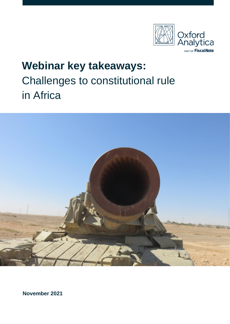

# **Webinar key takeaways:** Challenges to constitutional rule in Africa



**November 2021**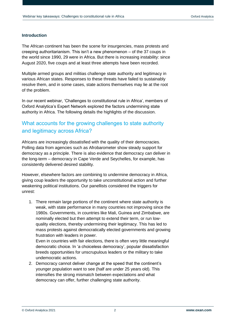### **Introduction**

The African continent has been the scene for insurgencies, mass protests and creeping authoritarianism. This isn't a new phenomenon – of the 37 coups in the world since 1990, 29 were in Africa. But there is increasing instability: since August 2020, five coups and at least three attempts have been recorded.

Multiple armed groups and militias challenge state authority and legitimacy in various African states. Responses to these threats have failed to sustainably resolve them, and in some cases, state actions themselves may lie at the root of the problem.

In our recent webinar, 'Challenges to constitutional rule in Africa', members of Oxford Analytica's Expert Network explored the factors undermining state authority in Africa. The following details the highlights of the discussion.

### What accounts for the growing challenges to state authority and legitimacy across Africa?

Africans are increasingly dissatisfied with the quality of their democracies. Polling data from agencies such as Afrobarometer show steady support for democracy as a principle. There is also evidence that democracy can deliver in the long-term – democracy in Cape Verde and Seychelles, for example, has consistently delivered desired stability.

However, elsewhere factors are combining to undermine democracy in Africa, giving coup leaders the opportunity to take unconstitutional action and further weakening political institutions. Our panellists considered the triggers for unrest:

1. There remain large portions of the continent where state authority is weak, with state performance in many countries not improving since the 1980s. Governments, in countries like Mali, Guinea and Zimbabwe, are nominally elected but then attempt to extend their term, or run lowquality elections, thereby undermining their legitimacy. This has led to mass protests against democratically elected governments and growing frustration with leaders in power.

Even in countries with fair elections, there is often very little meaningful democratic choice. In 'a choiceless democracy', popular dissatisfaction breeds opportunities for unscrupulous leaders or the military to take undemocratic actions.

2. Democracy cannot deliver change at the speed that the continent's younger population want to see (half are under 25 years old). This intensifies the strong mismatch between expectations and what democracy can offer, further challenging state authority.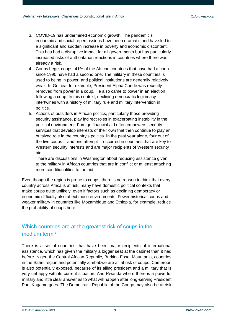- 3. COVID-19 has undermined economic growth. The pandemic's economic and social repercussions have been dramatic and have led to a significant and sudden increase in poverty and economic discontent. This has had a disruptive impact for all governments but has particularly increased risks of authoritarian reactions in countries where there was already a risk.
- 4. Coups beget coups: 41% of the African countries that have had a coup since 1990 have had a second one. The military in these countries is used to being in power, and political institutions are generally relatively weak. In Guinea, for example, President Alpha Condé was recently removed from power in a coup. He also came to power in an election following a coup. In this context, declining democratic legitimacy intertwines with a history of military rule and military intervention in politics.
- 5. Actions of outsiders in African politics, particularly those providing security assistance, play indirect roles in exacerbating instability in the political environment. Foreign financial aid often empowers security services that develop interests of their own that then continue to play an outsized role in the country's politics. In the past year alone, four out of the five coups -- and one attempt -- occurred in countries that are key to Western security interests and are major recipients of Western security aid.

There are discussions in Washington about reducing assistance given to the military in African countries that are in conflict or at least attaching more conditionalities to the aid.

Even though the region is prone to coups, there is no reason to think that every country across Africa is at risk; many have domestic political contexts that make coups quite unlikely, even if factors such as declining democracy or economic difficulty also affect those environments. Fewer historical coups and weaker military in countries like Mozambique and Ethiopia, for example, reduce the probability of coups here.

## Which countries are at the greatest risk of coups in the medium term?

There is a set of countries that have been major recipients of international assistance, which has given the military a bigger seat at the cabinet than it had before. Niger, the Central African Republic, Burkina Faso, Mauritania, countries in the Sahel region and potentially Zimbabwe are all at risk of coups. Cameroon is also potentially exposed, because of its ailing president and a military that is very unhappy with its current situation. And Rwanda where there is a powerful military and little clear answer as to what will happen after long-serving President Paul Kagame goes. The Democratic Republic of the Congo may also be at risk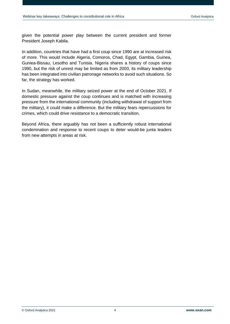given the potential power play between the current president and former President Joseph Kabila.

In addition, countries that have had a first coup since 1990 are at increased risk of more. This would include Algeria, Comoros, Chad, Egypt, Gambia, Guinea, Guniea-Bissau, Lesotho and Tunisia. Nigeria shares a history of coups since 1990, but the risk of unrest may be limited as from 2000, its military leadership has been integrated into civilian patronage networks to avoid such situations. So far, the strategy has worked.

In Sudan, meanwhile, the military seized power at the end of October 2021. If domestic pressure against the coup continues and is matched with increasing pressure from the international community (including withdrawal of support from the military), it could make a difference. But the military fears repercussions for crimes, which could drive resistance to a democratic transition.

Beyond Africa, there arguably has not been a sufficiently robust international condemnation and response to recent coups to deter would-be junta leaders from new attempts in areas at risk.